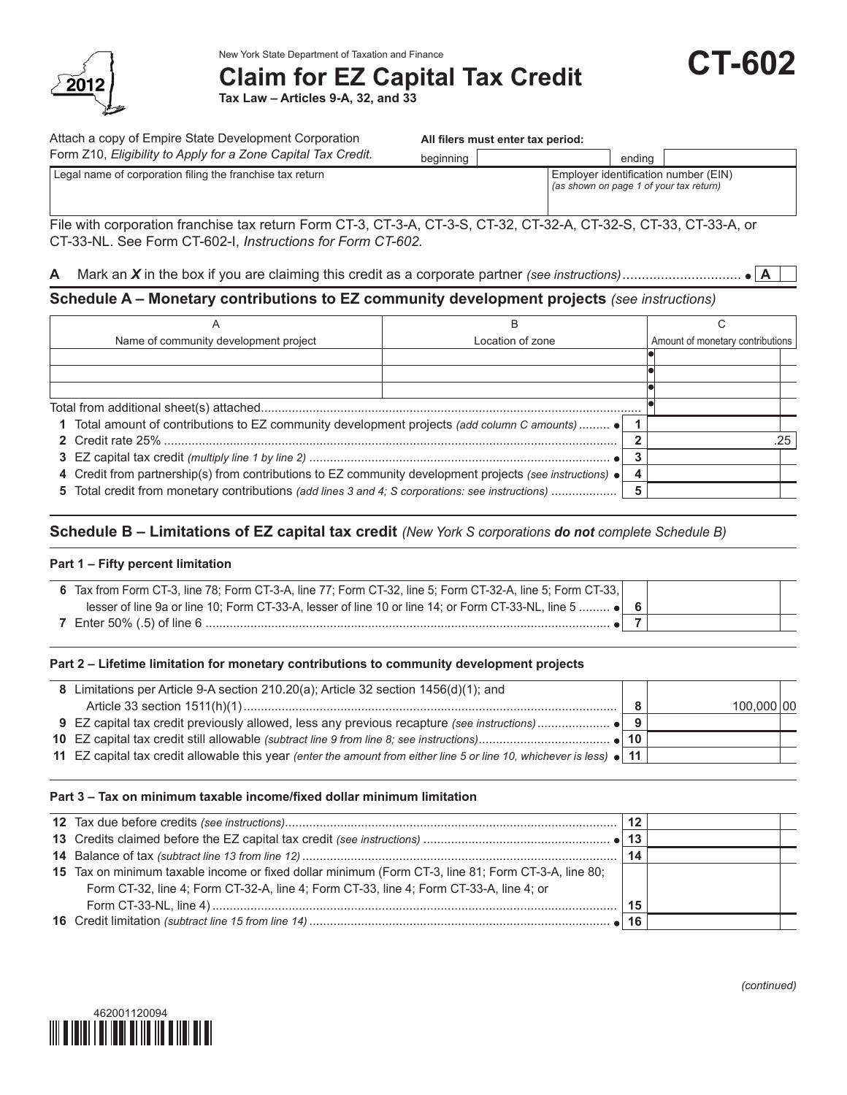

# New York State Department of Taxation and Finance<br>**Claim for EZ Capital Tax Credit CT-602**

**Tax Law – Articles 9-A, 32, and 33**

| Attach a copy of Empire State Development Corporation                                                                                                                           | All filers must enter tax period: |                  |                                                                                 |                                  |  |  |
|---------------------------------------------------------------------------------------------------------------------------------------------------------------------------------|-----------------------------------|------------------|---------------------------------------------------------------------------------|----------------------------------|--|--|
| Form Z10, Eligibility to Apply for a Zone Capital Tax Credit.                                                                                                                   | beginning                         |                  | ending                                                                          |                                  |  |  |
| Legal name of corporation filing the franchise tax return                                                                                                                       |                                   |                  | Employer identification number (EIN)<br>(as shown on page 1 of your tax return) |                                  |  |  |
| File with corporation franchise tax return Form CT-3, CT-3-A, CT-3-S, CT-32, CT-32-A, CT-32-S, CT-33, CT-33-A, or<br>CT-33-NL. See Form CT-602-I, Instructions for Form CT-602. |                                   |                  |                                                                                 |                                  |  |  |
|                                                                                                                                                                                 |                                   |                  |                                                                                 |                                  |  |  |
| A                                                                                                                                                                               |                                   |                  |                                                                                 |                                  |  |  |
| Schedule A - Monetary contributions to EZ community development projects (see instructions)                                                                                     |                                   |                  |                                                                                 |                                  |  |  |
| A                                                                                                                                                                               |                                   | B                |                                                                                 | C                                |  |  |
| Name of community development project                                                                                                                                           |                                   | Location of zone |                                                                                 | Amount of monetary contributions |  |  |
|                                                                                                                                                                                 |                                   |                  |                                                                                 |                                  |  |  |
|                                                                                                                                                                                 |                                   |                  |                                                                                 |                                  |  |  |
|                                                                                                                                                                                 |                                   |                  |                                                                                 |                                  |  |  |
|                                                                                                                                                                                 |                                   |                  |                                                                                 |                                  |  |  |

| 1 Total amount of contributions to EZ community development projects (add column C amounts)                 |  |
|-------------------------------------------------------------------------------------------------------------|--|
|                                                                                                             |  |
|                                                                                                             |  |
| 4 Credit from partnership(s) from contributions to EZ community development projects (see instructions) • 4 |  |
|                                                                                                             |  |

## **Schedule B – Limitations of EZ capital tax credit** *(New York S corporations do not complete Schedule B)*

#### **Part 1 – Fifty percent limitation**

| 6 Tax from Form CT-3, line 78; Form CT-3-A, line 77; Form CT-32, line 5; Form CT-32-A, line 5; Form CT-33, |  |
|------------------------------------------------------------------------------------------------------------|--|
| lesser of line 9a or line 10; Form CT-33-A, lesser of line 10 or line 14; or Form CT-33-NL, line 5  ● 6    |  |
| <b>7</b> Enter 50% (.5) of line 6.                                                                         |  |

### **Part 2 – Lifetime limitation for monetary contributions to community development projects**

| 8 Limitations per Article 9-A section 210.20(a); Article 32 section 1456(d)(1); and                                   |  |            |  |
|-----------------------------------------------------------------------------------------------------------------------|--|------------|--|
|                                                                                                                       |  | 100.000 00 |  |
|                                                                                                                       |  |            |  |
|                                                                                                                       |  |            |  |
| 11 EZ capital tax credit allowable this year (enter the amount from either line 5 or line 10, whichever is less) • 11 |  |            |  |
|                                                                                                                       |  |            |  |

#### **Part 3 – Tax on minimum taxable income/fixed dollar minimum limitation**

|                                                                                                     | 12 |  |
|-----------------------------------------------------------------------------------------------------|----|--|
|                                                                                                     |    |  |
|                                                                                                     | 14 |  |
| 15 Tax on minimum taxable income or fixed dollar minimum (Form CT-3, line 81; Form CT-3-A, line 80; |    |  |
| Form CT-32, line 4; Form CT-32-A, line 4; Form CT-33, line 4; Form CT-33-A, line 4; or              |    |  |
|                                                                                                     | 15 |  |
|                                                                                                     |    |  |



*(continued)*